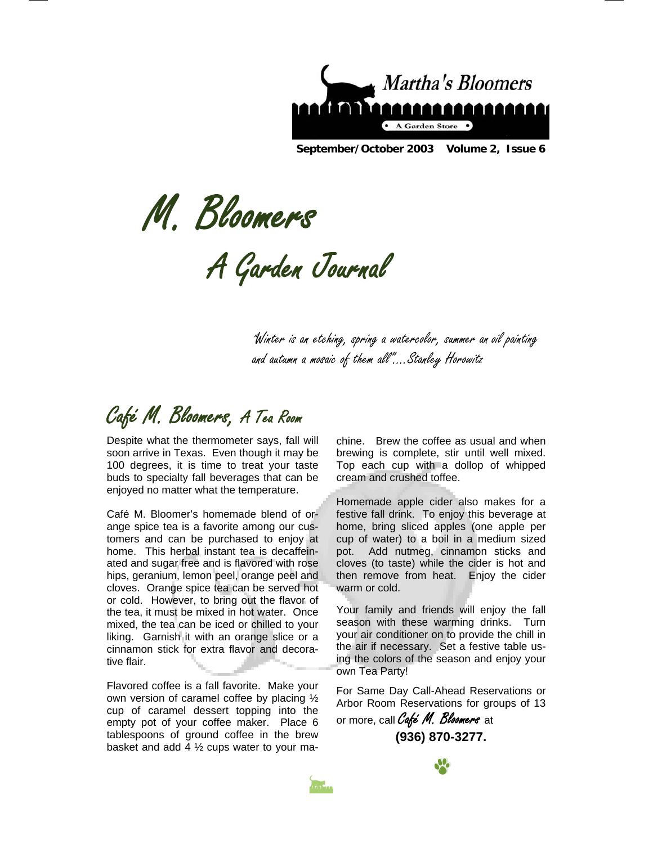

**September/October 2003 Volume 2, Issue 6** 

M. Bloomers

A Garden Journal

"Winter is an etching, spring a watercolor, summer an oil painting and autumn a mosaic of them all"….Stanley Horowitz

Café M. Bloomers, A Tea Room

Despite what the thermometer says, fall will soon arrive in Texas. Even though it may be 100 degrees, it is time to treat your taste buds to specialty fall beverages that can be enjoyed no matter what the temperature.

Café M. Bloomer's homemade blend of orange spice tea is a favorite among our customers and can be purchased to enjoy at home. This herbal instant tea is decaffeinated and sugar free and is flavored with rose hips, geranium, lemon peel, orange peel and cloves. Orange spice tea can be served hot or cold. However, to bring out the flavor of the tea, it must be mixed in hot water. Once mixed, the tea can be iced or chilled to your liking. Garnish it with an orange slice or a cinnamon stick for extra flavor and decorative flair.

Flavored coffee is a fall favorite. Make your own version of caramel coffee by placing ½ cup of caramel dessert topping into the empty pot of your coffee maker. Place 6 tablespoons of ground coffee in the brew basket and add 4  $\frac{1}{2}$  cups water to your ma-

chine. Brew the coffee as usual and when brewing is complete, stir until well mixed. Top each cup with a dollop of whipped cream and crushed toffee.

Homemade apple cider also makes for a festive fall drink. To enjoy this beverage at home, bring sliced apples (one apple per cup of water) to a boil in a medium sized pot. Add nutmeg, cinnamon sticks and cloves (to taste) while the cider is hot and then remove from heat. Enjoy the cider warm or cold.

Your family and friends will enjoy the fall season with these warming drinks. Turn your air conditioner on to provide the chill in the air if necessary. Set a festive table using the colors of the season and enjoy your own Tea Party!

For Same Day Call-Ahead Reservations or Arbor Room Reservations for groups of 13

or more, call Café M. Bloomers at **(936) 870-3277.** 



í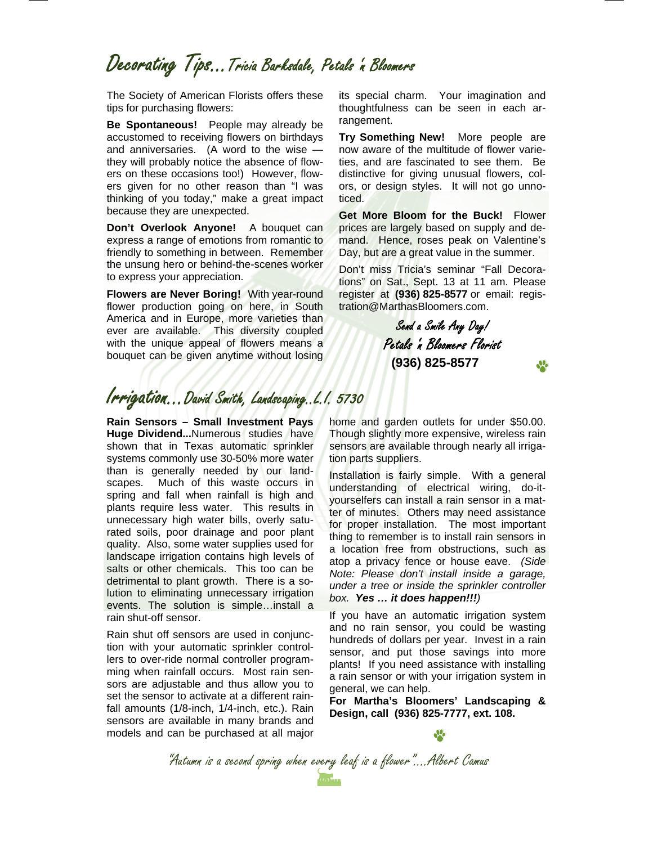### Decorating Tips…Tricia Barksdale, Petals 'n Bloomers

The Society of American Florists offers these tips for purchasing flowers:

**Be Spontaneous!** People may already be accustomed to receiving flowers on birthdays and anniversaries. (A word to the wise they will probably notice the absence of flowers on these occasions too!) However, flowers given for no other reason than "I was thinking of you today," make a great impact because they are unexpected.

**Don't Overlook Anyone!** A bouquet can express a range of emotions from romantic to friendly to something in between. Remember the unsung hero or behind-the-scenes worker to express your appreciation.

**Flowers are Never Boring!** With year-round flower production going on here, in South America and in Europe, more varieties than ever are available. This diversity coupled with the unique appeal of flowers means a bouquet can be given anytime without losing

its special charm. Your imagination and thoughtfulness can be seen in each arrangement.

**Try Something New!** More people are now aware of the multitude of flower varieties, and are fascinated to see them. Be distinctive for giving unusual flowers, colors, or design styles. It will not go unnoticed.

**Get More Bloom for the Buck!** Flower prices are largely based on supply and demand. Hence, roses peak on Valentine's Day, but are a great value in the summer.

Don't miss Tricia's seminar "Fall Decorations" on Sat., Sept. 13 at 11 am. Please register at **(936) 825-8577** or email: registration@MarthasBloomers.com.

> Send a Smile Any Day! Petals 'n Bloomers Florist **(936) 825-8577**

### Irrigation...David Smith, Landscaping..L.I. 5730

**Rain Sensors – Small Investment Pays Huge Dividend...**Numerous studies have shown that in Texas automatic sprinkler systems commonly use 30-50% more water than is generally needed by our landscapes. Much of this waste occurs in spring and fall when rainfall is high and plants require less water. This results in unnecessary high water bills, overly saturated soils, poor drainage and poor plant quality. Also, some water supplies used for landscape irrigation contains high levels of salts or other chemicals. This too can be detrimental to plant growth. There is a solution to eliminating unnecessary irrigation events. The solution is simple…install a rain shut-off sensor.

Rain shut off sensors are used in conjunction with your automatic sprinkler controllers to over-ride normal controller programming when rainfall occurs. Most rain sensors are adjustable and thus allow you to set the sensor to activate at a different rainfall amounts (1/8-inch, 1/4-inch, etc.). Rain sensors are available in many brands and models and can be purchased at all major

home and garden outlets for under \$50.00. Though slightly more expensive, wireless rain sensors are available through nearly all irrigation parts suppliers.

Installation is fairly simple. With a general understanding of electrical wiring, do-ityourselfers can install a rain sensor in a matter of minutes. Others may need assistance for proper installation. The most important thing to remember is to install rain sensors in a location free from obstructions, such as atop a privacy fence or house eave. *(Side Note: Please don't install inside a garage, under a tree or inside the sprinkler controller box. Yes … it does happen!!!)*

If you have an automatic irrigation system and no rain sensor, you could be wasting hundreds of dollars per year. Invest in a rain sensor, and put those savings into more plants! If you need assistance with installing a rain sensor or with your irrigation system in general, we can help.

**For Martha's Bloomers' Landscaping & Design, call (936) 825-7777, ext. 108.** 

"Autumn is a second spring when every leaf is a flower"....Albert Camus<br>And is a second spring when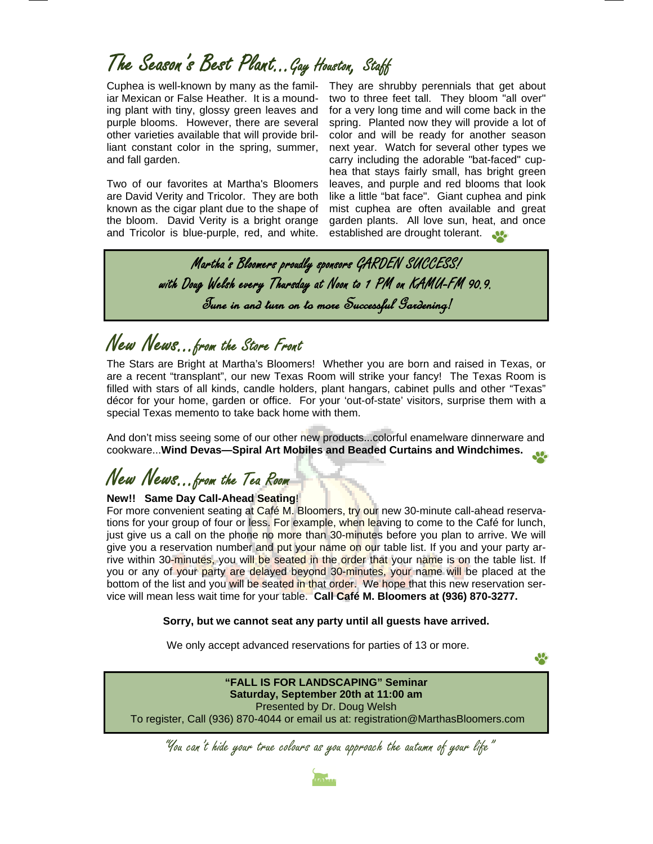# The Season's Best Plant...Gay Houston, Staff

Cuphea is well-known by many as the familiar Mexican or False Heather. It is a mounding plant with tiny, glossy green leaves and purple blooms. However, there are several other varieties available that will provide brilliant constant color in the spring, summer, and fall garden.

Two of our favorites at Martha's Bloomers are David Verity and Tricolor. They are both known as the cigar plant due to the shape of the bloom. David Verity is a bright orange and Tricolor is blue-purple, red, and white.

They are shrubby perennials that get about two to three feet tall. They bloom "all over" for a very long time and will come back in the spring. Planted now they will provide a lot of color and will be ready for another season next year. Watch for several other types we carry including the adorable "bat-faced" cuphea that stays fairly small, has bright green leaves, and purple and red blooms that look like a little "bat face". Giant cuphea and pink mist cuphea are often available and great garden plants. All love sun, heat, and once established are drought tolerant.

 $\frac{1}{2}$ 

Martha's Bloomers proudly sponsors GARDEN SUCCESS! with Doug Welsh every Thursday at Noon to 1 PM on KAMU-FM 90.9. Tune in and turn on to more Successful Gardening!

### New News...from the Store Front

The Stars are Bright at Martha's Bloomers! Whether you are born and raised in Texas, or are a recent "transplant", our new Texas Room will strike your fancy! The Texas Room is filled with stars of all kinds, candle holders, plant hangars, cabinet pulls and other "Texas" décor for your home, garden or office. For your 'out-of-state' visitors, surprise them with a special Texas memento to take back home with them.

And don't miss seeing some of our other new products...colorful enamelware dinnerware and cookware...**Wind Devas—Spiral Art Mobiles and Beaded Curtains and Windchimes.** 

### New News...from the Tea Room

### **New!! Same Day Call-Ahead Seating**!

For more convenient seating at Café M. Bloomers, try our new 30-minute call-ahead reservations for your group of four or less. For example, when leaving to come to the Café for lunch, just give us a call on the phone no more than 30-minutes before you plan to arrive. We will give you a reservation number and put your name on our table list. If you and your party arrive within 30-minutes, you will be seated in the order that your name is on the table list. If you or any of your party are delayed beyond 30-minutes, your name will be placed at the bottom of the list and you will be seated in that order. We hope that this new reservation service will mean less wait time for your table. **Call Café M. Bloomers at (936) 870-3277.** 

**Sorry, but we cannot seat any party until all guests have arrived.** 

We only accept advanced reservations for parties of 13 or more.

**"FALL IS FOR LANDSCAPING" Seminar Saturday, September 20th at 11:00 am**  Presented by Dr. Doug Welsh To register, Call (936) 870-4044 or email us at: registration@MarthasBloomers.com

"You can't hide your true colours as you approach the autumn of your life"

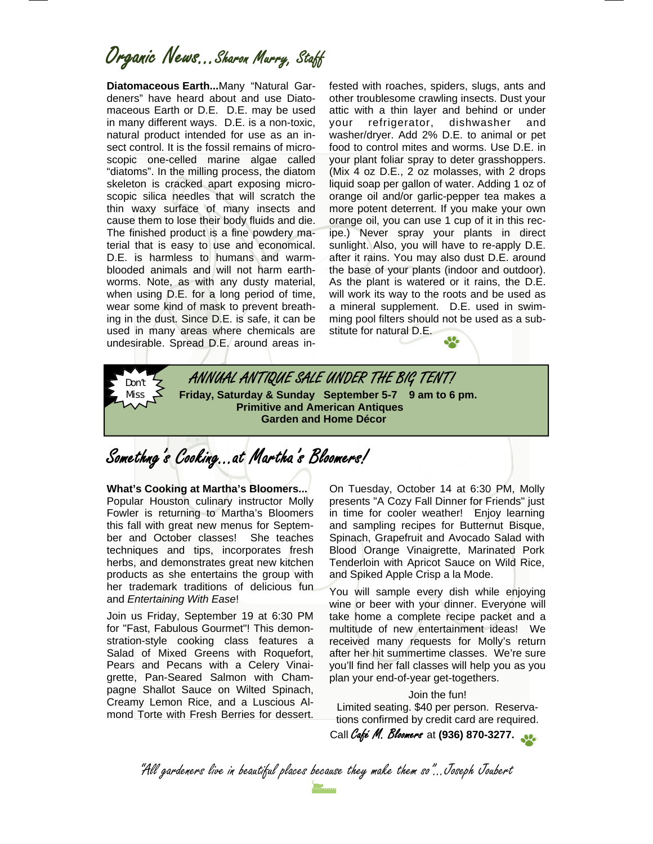Organic News...Sharon Murry, Staff

**Diatomaceous Earth...**Many "Natural Gardeners" have heard about and use Diatomaceous Earth or D.E. D.E. may be used in many different ways. D.E. is a non-toxic, natural product intended for use as an insect control. It is the fossil remains of microscopic one-celled marine algae called "diatoms". In the milling process, the diatom skeleton is cracked apart exposing microscopic silica needles that will scratch the thin waxy surface of many insects and cause them to lose their body fluids and die. The finished product is a fine powdery material that is easy to use and economical. D.E. is harmless to humans and warmblooded animals and will not harm earthworms. Note, as with any dusty material, when using D.E. for a long period of time, wear some kind of mask to prevent breathing in the dust. Since D.E. is safe, it can be used in many areas where chemicals are undesirable. Spread D.E. around areas infested with roaches, spiders, slugs, ants and other troublesome crawling insects. Dust your attic with a thin layer and behind or under your refrigerator, dishwasher and washer/dryer. Add 2% D.E. to animal or pet food to control mites and worms. Use D.E. in your plant foliar spray to deter grasshoppers. (Mix 4 oz D.E., 2 oz molasses, with 2 drops liquid soap per gallon of water. Adding 1 oz of orange oil and/or garlic-pepper tea makes a more potent deterrent. If you make your own orange oil, you can use 1 cup of it in this recipe.) Never spray your plants in direct sunlight. Also, you will have to re-apply D.E. after it rains. You may also dust D.E. around the base of your plants (indoor and outdoor). As the plant is watered or it rains, the D.E. will work its way to the roots and be used as a mineral supplement. D.E. used in swimming pool filters should not be used as a substitute for natural D.E.



 **Friday, Saturday & Sunday September 5-7 9 am to 6 pm. Primitive and American Antiques Garden and Home Décor** 

Somethng's Cooking...at Martha's Bloomers!

**What's Cooking at Martha's Bloomers...** Popular Houston culinary instructor Molly Fowler is returning to Martha's Bloomers this fall with great new menus for September and October classes! She teaches techniques and tips, incorporates fresh herbs, and demonstrates great new kitchen products as she entertains the group with her trademark traditions of delicious fun and *Entertaining With Ease*!

Don't Miss

Join us Friday, September 19 at 6:30 PM for "Fast, Fabulous Gourmet"! This demonstration-style cooking class features a Salad of Mixed Greens with Roquefort, Pears and Pecans with a Celery Vinaigrette, Pan-Seared Salmon with Champagne Shallot Sauce on Wilted Spinach, Creamy Lemon Rice, and a Luscious Almond Torte with Fresh Berries for dessert. On Tuesday, October 14 at 6:30 PM, Molly presents "A Cozy Fall Dinner for Friends" just in time for cooler weather! Enjoy learning and sampling recipes for Butternut Bisque, Spinach, Grapefruit and Avocado Salad with Blood Orange Vinaigrette, Marinated Pork Tenderloin with Apricot Sauce on Wild Rice, and Spiked Apple Crisp a la Mode.

You will sample every dish while enjoying wine or beer with your dinner. Everyone will take home a complete recipe packet and a multitude of new entertainment ideas! We received many requests for Molly's return after her hit summertime classes. We're sure you'll find her fall classes will help you as you plan your end-of-year get-togethers.

Join the fun! Limited seating. \$40 per person. Reservations confirmed by credit card are required. Call Café M. Bloomers at **(936) 870-3277.** 

"All gardeners live in beautiful places because they make them so"...Joseph Joubert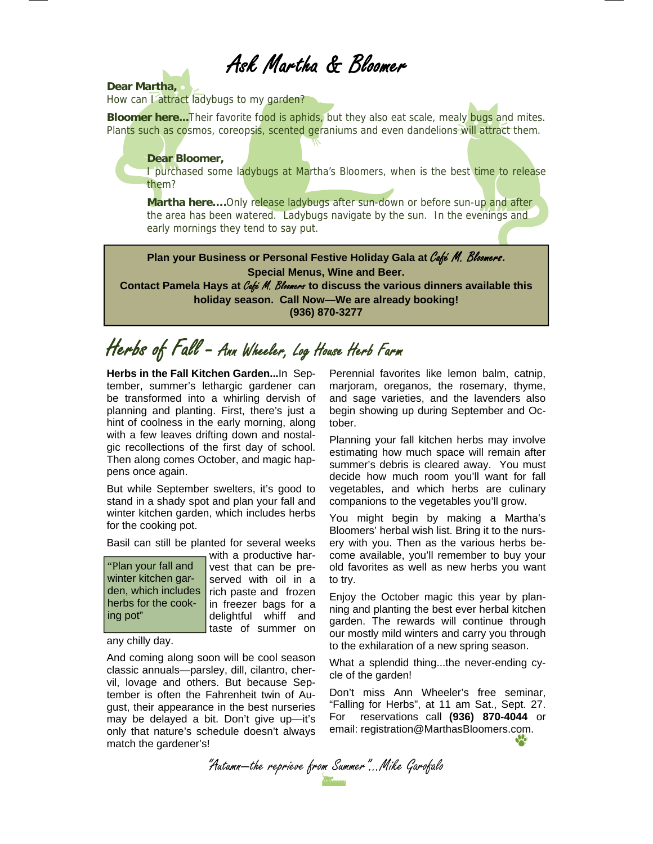### Ask Martha & Bloomer

### **Dear Martha,**

How can *I* attract ladybugs to my garden?

**Bloomer here...**Their favorite food is aphids, but they also eat scale, mealy bugs and mites. Plants such as cosmos, coreopsis, scented geraniums and even dandelions will attract them.

#### **Dear Bloomer,**

I purchased some ladybugs at Martha's Bloomers, when is the best time to release them?

**Martha here....**Only release ladybugs after sun-down or before sun-up and after the area has been watered. Ladybugs navigate by the sun. In the evenings and early mornings they tend to say put.

**Plan your Business or Personal Festive Holiday Gala at** Café M. Bloomers**. Special Menus, Wine and Beer.** 

**Contact Pamela Hays at** Café M. Bloomers **to discuss the various dinners available this holiday season. Call Now—We are already booking! (936) 870-3277** 

## Herbs of Fall - Ann Wheeler, Log House Herb Farm

**Herbs in the Fall Kitchen Garden...**In September, summer's lethargic gardener can be transformed into a whirling dervish of planning and planting. First, there's just a hint of coolness in the early morning, along with a few leaves drifting down and nostalgic recollections of the first day of school. Then along comes October, and magic happens once again.

But while September swelters, it's good to stand in a shady spot and plan your fall and winter kitchen garden, which includes herbs for the cooking pot.

Basil can still be planted for several weeks

"Plan your fall and winter kitchen garden, which includes herbs for the cooking pot"

with a productive harvest that can be preserved with oil in a rich paste and frozen in freezer bags for a delightful whiff and taste of summer on

any chilly day.

And coming along soon will be cool season classic annuals—parsley, dill, cilantro, chervil, lovage and others. But because September is often the Fahrenheit twin of August, their appearance in the best nurseries may be delayed a bit. Don't give up—it's only that nature's schedule doesn't always match the gardener's!

Perennial favorites like lemon balm, catnip, marjoram, oreganos, the rosemary, thyme, and sage varieties, and the lavenders also begin showing up during September and October.

Planning your fall kitchen herbs may involve estimating how much space will remain after summer's debris is cleared away. You must decide how much room you'll want for fall vegetables, and which herbs are culinary companions to the vegetables you'll grow.

You might begin by making a Martha's Bloomers' herbal wish list. Bring it to the nursery with you. Then as the various herbs become available, you'll remember to buy your old favorites as well as new herbs you want to try.

Enjoy the October magic this year by planning and planting the best ever herbal kitchen garden. The rewards will continue through our mostly mild winters and carry you through to the exhilaration of a new spring season.

What a splendid thing...the never-ending cycle of the garden!

Don't miss Ann Wheeler's free seminar, "Falling for Herbs", at 11 am Sat., Sept. 27. For reservations call **(936) 870-4044** or email: registration@MarthasBloomers.com.

"Autumn—the reprieve from Summer"...Mike Garofalo